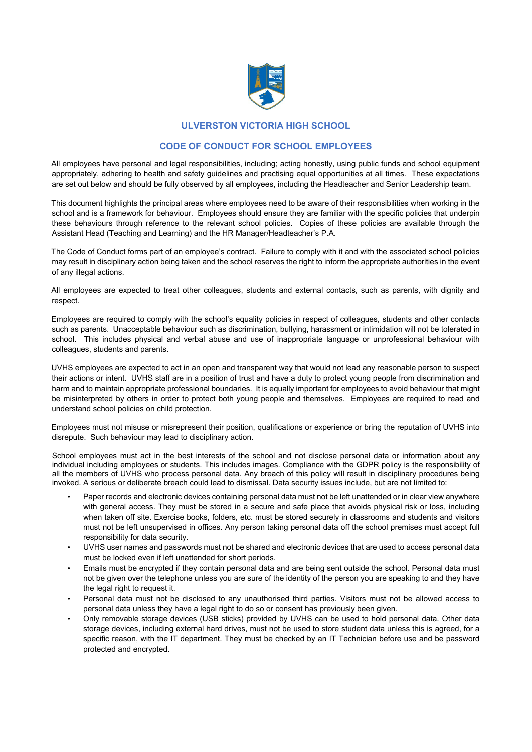

## **ULVERSTON VICTORIA HIGH SCHOOL**

## **CODE OF CONDUCT FOR SCHOOL EMPLOYEES**

All employees have personal and legal responsibilities, including; acting honestly, using public funds and school equipment appropriately, adhering to health and safety guidelines and practising equal opportunities at all times. These expectations are set out below and should be fully observed by all employees, including the Headteacher and Senior Leadership team.

This document highlights the principal areas where employees need to be aware of their responsibilities when working in the school and is a framework for behaviour. Employees should ensure they are familiar with the specific policies that underpin these behaviours through reference to the relevant school policies. Copies of these policies are available through the Assistant Head (Teaching and Learning) and the HR Manager/Headteacher's P.A.

The Code of Conduct forms part of an employee's contract. Failure to comply with it and with the associated school policies may result in disciplinary action being taken and the school reserves the right to inform the appropriate authorities in the event of any illegal actions.

All employees are expected to treat other colleagues, students and external contacts, such as parents, with dignity and respect.

Employees are required to comply with the school's equality policies in respect of colleagues, students and other contacts such as parents. Unacceptable behaviour such as discrimination, bullying, harassment or intimidation will not be tolerated in school. This includes physical and verbal abuse and use of inappropriate language or unprofessional behaviour with colleagues, students and parents.

UVHS employees are expected to act in an open and transparent way that would not lead any reasonable person to suspect their actions or intent. UVHS staff are in a position of trust and have a duty to protect young people from discrimination and harm and to maintain appropriate professional boundaries. It is equally important for employees to avoid behaviour that might be misinterpreted by others in order to protect both young people and themselves. Employees are required to read and understand school policies on child protection.

Employees must not misuse or misrepresent their position, qualifications or experience or bring the reputation of UVHS into disrepute. Such behaviour may lead to disciplinary action.

School employees must act in the best interests of the school and not disclose personal data or information about any individual including employees or students. This includes images. Compliance with the GDPR policy is the responsibility of all the members of UVHS who process personal data. Any breach of this policy will result in disciplinary procedures being invoked. A serious or deliberate breach could lead to dismissal. Data security issues include, but are not limited to:

- Paper records and electronic devices containing personal data must not be left unattended or in clear view anywhere with general access. They must be stored in a secure and safe place that avoids physical risk or loss, including when taken off site. Exercise books, folders, etc. must be stored securely in classrooms and students and visitors must not be left unsupervised in offices. Any person taking personal data off the school premises must accept full responsibility for data security.
- UVHS user names and passwords must not be shared and electronic devices that are used to access personal data must be locked even if left unattended for short periods.
- Emails must be encrypted if they contain personal data and are being sent outside the school. Personal data must not be given over the telephone unless you are sure of the identity of the person you are speaking to and they have the legal right to request it.
- Personal data must not be disclosed to any unauthorised third parties. Visitors must not be allowed access to personal data unless they have a legal right to do so or consent has previously been given.
- Only removable storage devices (USB sticks) provided by UVHS can be used to hold personal data. Other data storage devices, including external hard drives, must not be used to store student data unless this is agreed, for a specific reason, with the IT department. They must be checked by an IT Technician before use and be password protected and encrypted.